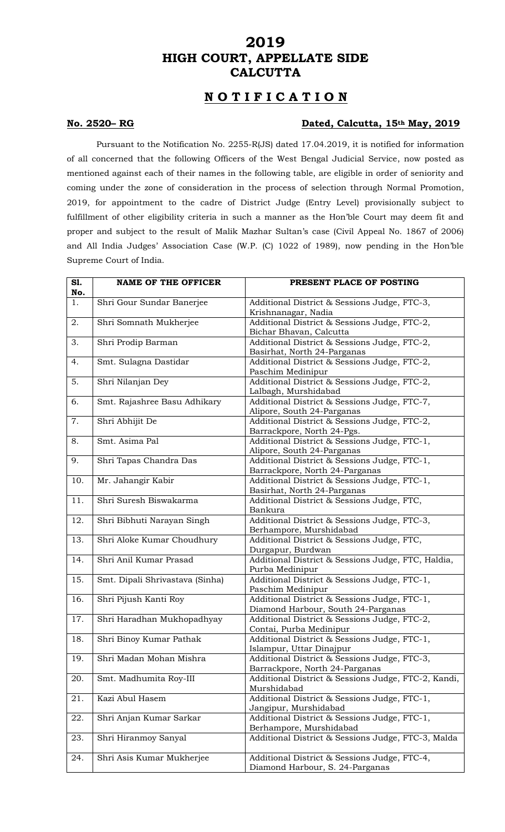## **2019 HIGH COURT, APPELLATE SIDE CALCUTTA**

# **N O T I F I C A T I O N**

#### **No. 2520– RG Dated, Calcutta, 15th May, 2019**

Pursuant to the Notification No. 2255-R(JS) dated 17.04.2019, it is notified for information of all concerned that the following Officers of the West Bengal Judicial Service, now posted as mentioned against each of their names in the following table, are eligible in order of seniority and coming under the zone of consideration in the process of selection through Normal Promotion, 2019, for appointment to the cadre of District Judge (Entry Level) provisionally subject to fulfillment of other eligibility criteria in such a manner as the Hon'ble Court may deem fit and proper and subject to the result of Malik Mazhar Sultan's case (Civil Appeal No. 1867 of 2006) and All India Judges' Association Case (W.P. (C) 1022 of 1989), now pending in the Hon'ble Supreme Court of India.

| S1.<br>No. | <b>NAME OF THE OFFICER</b>      | PRESENT PLACE OF POSTING                                                           |
|------------|---------------------------------|------------------------------------------------------------------------------------|
| 1.         | Shri Gour Sundar Banerjee       | Additional District & Sessions Judge, FTC-3,<br>Krishnanagar, Nadia                |
| 2.         | Shri Somnath Mukherjee          | Additional District & Sessions Judge, FTC-2,<br>Bichar Bhavan, Calcutta            |
| 3.         | Shri Prodip Barman              | Additional District & Sessions Judge, FTC-2,<br>Basirhat, North 24-Parganas        |
| 4.         | Smt. Sulagna Dastidar           | Additional District & Sessions Judge, FTC-2,<br>Paschim Medinipur                  |
| 5.         | Shri Nilanjan Dey               | Additional District & Sessions Judge, FTC-2,<br>Lalbagh, Murshidabad               |
| 6.         | Smt. Rajashree Basu Adhikary    | Additional District & Sessions Judge, FTC-7,<br>Alipore, South 24-Parganas         |
| 7.         | Shri Abhijit De                 | Additional District & Sessions Judge, FTC-2,<br>Barrackpore, North 24-Pgs.         |
| 8.         | Smt. Asima Pal                  | Additional District & Sessions Judge, FTC-1,<br>Alipore, South 24-Parganas         |
| 9.         | Shri Tapas Chandra Das          | Additional District & Sessions Judge, FTC-1,<br>Barrackpore, North 24-Parganas     |
| 10.        | Mr. Jahangir Kabir              | Additional District & Sessions Judge, FTC-1,<br>Basirhat, North 24-Parganas        |
| 11.        | Shri Suresh Biswakarma          | Additional District & Sessions Judge, FTC,<br>Bankura                              |
| 12.        | Shri Bibhuti Narayan Singh      | Additional District & Sessions Judge, FTC-3,<br>Berhampore, Murshidabad            |
| 13.        | Shri Aloke Kumar Choudhury      | Additional District & Sessions Judge, FTC,<br>Durgapur, Burdwan                    |
| 14.        | Shri Anil Kumar Prasad          | Additional District & Sessions Judge, FTC, Haldia,<br>Purba Medinipur              |
| 15.        | Smt. Dipali Shrivastava (Sinha) | Additional District & Sessions Judge, FTC-1,<br>Paschim Medinipur                  |
| 16.        | Shri Pijush Kanti Roy           | Additional District & Sessions Judge, FTC-1,<br>Diamond Harbour, South 24-Parganas |
| 17.        | Shri Haradhan Mukhopadhyay      | Additional District & Sessions Judge, FTC-2,<br>Contai, Purba Medinipur            |
| 18.        | Shri Binoy Kumar Pathak         | Additional District & Sessions Judge, FTC-1,<br>Islampur, Uttar Dinajpur           |
| 19.        | Shri Madan Mohan Mishra         | Additional District & Sessions Judge, FTC-3,<br>Barrackpore, North 24-Parganas     |
| 20.        | Smt. Madhumita Roy-III          | Additional District & Sessions Judge, FTC-2, Kandi,<br>Murshidabad                 |
| 21.        | Kazi Abul Hasem                 | Additional District & Sessions Judge, FTC-1,<br>Jangipur, Murshidabad              |
| 22.        | Shri Anjan Kumar Sarkar         | Additional District & Sessions Judge, FTC-1,<br>Berhampore, Murshidabad            |
| 23.        | Shri Hiranmoy Sanyal            | Additional District & Sessions Judge, FTC-3, Malda                                 |
| 24.        | Shri Asis Kumar Mukherjee       | Additional District & Sessions Judge, FTC-4,<br>Diamond Harbour, S. 24-Parganas    |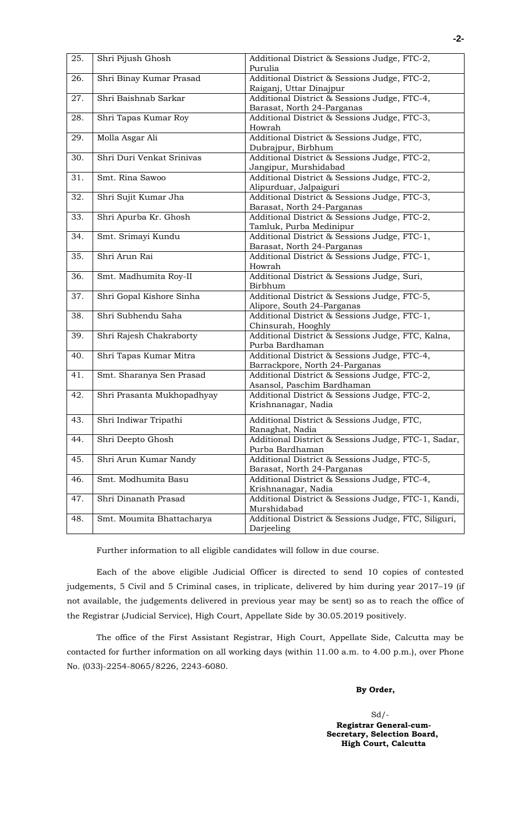| 25. | Shri Pijush Ghosh          | Additional District & Sessions Judge, FTC-2,         |
|-----|----------------------------|------------------------------------------------------|
|     |                            | Purulia                                              |
| 26. | Shri Binay Kumar Prasad    | Additional District & Sessions Judge, FTC-2,         |
|     |                            | Raiganj, Uttar Dinajpur                              |
| 27. | Shri Baishnab Sarkar       | Additional District & Sessions Judge, FTC-4,         |
|     |                            | Barasat, North 24-Parganas                           |
| 28. | Shri Tapas Kumar Roy       | Additional District & Sessions Judge, FTC-3,         |
|     |                            | Howrah                                               |
| 29. | Molla Asgar Ali            | Additional District & Sessions Judge, FTC,           |
|     |                            | Dubrajpur, Birbhum                                   |
| 30. | Shri Duri Venkat Srinivas  | Additional District & Sessions Judge, FTC-2,         |
|     |                            | Jangipur, Murshidabad                                |
| 31. | Smt. Rina Sawoo            | Additional District & Sessions Judge, FTC-2,         |
|     |                            | Alipurduar, Jalpaiguri                               |
| 32. | Shri Sujit Kumar Jha       | Additional District & Sessions Judge, FTC-3,         |
|     |                            | Barasat, North 24-Parganas                           |
| 33. | Shri Apurba Kr. Ghosh      | Additional District & Sessions Judge, FTC-2,         |
|     |                            | Tamluk, Purba Medinipur                              |
| 34. | Smt. Srimayi Kundu         | Additional District & Sessions Judge, FTC-1,         |
|     |                            | Barasat, North 24-Parganas                           |
| 35. | Shri Arun Rai              |                                                      |
|     |                            | Additional District & Sessions Judge, FTC-1,         |
|     |                            | Howrah                                               |
| 36. | Smt. Madhumita Roy-II      | Additional District & Sessions Judge, Suri,          |
|     |                            | Birbhum                                              |
| 37. | Shri Gopal Kishore Sinha   | Additional District & Sessions Judge, FTC-5,         |
|     |                            | Alipore, South 24-Parganas                           |
| 38. | Shri Subhendu Saha         | Additional District & Sessions Judge, FTC-1,         |
|     |                            | Chinsurah, Hooghly                                   |
| 39. | Shri Rajesh Chakraborty    | Additional District & Sessions Judge, FTC, Kalna,    |
|     |                            | Purba Bardhaman                                      |
| 40. | Shri Tapas Kumar Mitra     | Additional District & Sessions Judge, FTC-4,         |
|     |                            | Barrackpore, North 24-Parganas                       |
| 41. | Smt. Sharanya Sen Prasad   | Additional District & Sessions Judge, FTC-2,         |
|     |                            | Asansol, Paschim Bardhaman                           |
| 42. | Shri Prasanta Mukhopadhyay | Additional District & Sessions Judge, FTC-2,         |
|     |                            | Krishnanagar, Nadia                                  |
| 43. | Shri Indiwar Tripathi      | Additional District & Sessions Judge, FTC,           |
|     |                            |                                                      |
|     |                            | Ranaghat, Nadia                                      |
| 44. | Shri Deepto Ghosh          | Additional District & Sessions Judge, FTC-1, Sadar,  |
|     |                            | Purba Bardhaman                                      |
| 45. | Shri Arun Kumar Nandy      | Additional District & Sessions Judge, FTC-5,         |
|     |                            | Barasat, North 24-Parganas                           |
| 46. | Smt. Modhumita Basu        | Additional District & Sessions Judge, FTC-4,         |
|     |                            | Krishnanagar, Nadia                                  |
| 47. | Shri Dinanath Prasad       | Additional District & Sessions Judge, FTC-1, Kandi,  |
|     |                            | Murshidabad                                          |
| 48. | Smt. Moumita Bhattacharya  | Additional District & Sessions Judge, FTC, Siliguri, |
|     |                            | Darjeeling                                           |

Further information to all eligible candidates will follow in due course.

Each of the above eligible Judicial Officer is directed to send 10 copies of contested judgements, 5 Civil and 5 Criminal cases, in triplicate, delivered by him during year 2017–19 (if not available, the judgements delivered in previous year may be sent) so as to reach the office of the Registrar (Judicial Service), High Court, Appellate Side by 30.05.2019 positively.

The office of the First Assistant Registrar, High Court, Appellate Side, Calcutta may be contacted for further information on all working days (within 11.00 a.m. to 4.00 p.m.), over Phone No. (033)-2254-8065/8226, 2243-6080.

### **By Order,**

 Sd/- **Registrar General-cum-Secretary, Selection Board, High Court, Calcutta**